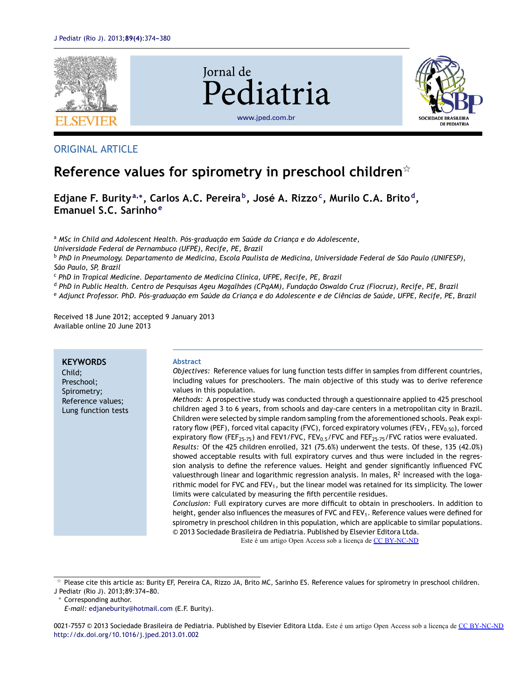

## ORIGINAL ARTICLE

# **Reference values for spirometry in preschool children**-

**Edjane F. Burity<sup>a</sup>**,<sup>∗</sup> **, Carlos A.C. Pereira <sup>b</sup> , José A. Rizzo<sup>c</sup> , Murilo C.A. Brito <sup>d</sup> , Emanuel S.C. Sarinho <sup>e</sup>**

<sup>a</sup> *MSc in Child and Adolescent Health. Pós-graduac¸ão em Saúde da Crianc¸a e do Adolescente,*

*Universidade Federal de Pernambuco (UFPE), Recife, PE, Brazil*

<sup>b</sup> PhD in Pneumology. Departamento de Medicina, Escola Paulista de Medicina, Universidade Federal de São Paulo (UNIFESP), *São Paulo, SP, Brazil*

<sup>c</sup> *PhD in Tropical Medicine. Departamento de Medicina Clínica, UFPE, Recife, PE, Brazil*

<sup>d</sup> PhD in Public Health. Centro de Pesquisas Ageu Magalhães (CPqAM), Fundacão Oswaldo Cruz (Fiocruz), Recife, PE, Brazil

e Adjunct Professor. PhD. Pós-graduacão em Saúde da Crianca e do Adolescente e de Ciências de Saúde, UFPE, Recife, PE, Brazil

Received 18 June 2012; accepted 9 January 2013 Available online 20 June 2013

| <b>KEYWORDS</b><br>Child;<br>Preschool;<br>Spirometry;<br>Reference values;<br>Lung function tests | <b>Abstract</b><br>Objectives: Reference values for lung function tests differ in samples from different countries,<br>including values for preschoolers. The main objective of this study was to derive reference<br>values in this population.<br>Methods: A prospective study was conducted through a questionnaire applied to 425 preschool<br>children aged 3 to 6 years, from schools and day-care centers in a metropolitan city in Brazil.<br>Children were selected by simple random sampling from the aforementioned schools. Peak expi-<br>ratory flow (PEF), forced vital capacity (FVC), forced expiratory volumes (FEV <sub>1</sub> , FEV <sub>0.50</sub> ), forced<br>expiratory flow (FEF <sub>25-75</sub> ) and FEV1/FVC, FEV <sub>0.5</sub> /FVC and FEF <sub>25-75</sub> /FVC ratios were evaluated.<br>Results: Of the 425 children enrolled, 321 (75.6%) underwent the tests. Of these, 135 (42.0%)<br>showed acceptable results with full expiratory curves and thus were included in the regres-<br>sion analysis to define the reference values. Height and gender significantly influenced FVC<br>valuesthrough linear and logarithmic regression analysis. In males, $R2$ increased with the loga-<br>rithmic model for FVC and FEV <sub>1</sub> , but the linear model was retained for its simplicity. The lower<br>limits were calculated by measuring the fifth percentile residues.<br>Conclusion: Full expiratory curves are more difficult to obtain in preschoolers. In addition to<br>height, gender also influences the measures of FVC and FEV <sub>1</sub> . Reference values were defined for<br>spirometry in preschool children in this population, which are applicable to similar populations.<br>© 2013 Sociedade Brasileira de Pediatria. Published by Elsevier Editora Ltda.<br>Esta á um artigo Open Access sob a licença de CC BV NC ND |
|----------------------------------------------------------------------------------------------------|-----------------------------------------------------------------------------------------------------------------------------------------------------------------------------------------------------------------------------------------------------------------------------------------------------------------------------------------------------------------------------------------------------------------------------------------------------------------------------------------------------------------------------------------------------------------------------------------------------------------------------------------------------------------------------------------------------------------------------------------------------------------------------------------------------------------------------------------------------------------------------------------------------------------------------------------------------------------------------------------------------------------------------------------------------------------------------------------------------------------------------------------------------------------------------------------------------------------------------------------------------------------------------------------------------------------------------------------------------------------------------------------------------------------------------------------------------------------------------------------------------------------------------------------------------------------------------------------------------------------------------------------------------------------------------------------------------------------------------------------------------------------------------------------------------------------------------------------------------------------------------------------|

Este é um artigo Open Access sob a licença de [CC BY-NC-ND](http://creativecommons.org/licenses/by-nc-nd/4.0/)

 $*$  Please cite this article as: Burity EF, Pereira CA, Rizzo JA, Brito MC, Sarinho ES. Reference values for spirometry in preschool children.

J Pediatr (Rio J). 2013;89:374-80.

<sup>∗</sup> Corresponding author.

0021-7557 © 2013 Sociedade Brasileira de Pediatria. Published by Elsevier Editora Ltda. Este é um artigo Open Access sob a licença de [CC BY-NC-ND](http://creativecommons.org/licenses/by-nc-nd/4.0/)[http://dx.doi.org/10.1016/j.jped.2013.01.002](dx.doi.org/10.1016/j.jped.2013.01.002)

*E-mail:* [edjaneburity@hotmail.com](mailto:edjaneburity@hotmail.com) (E.F. Burity).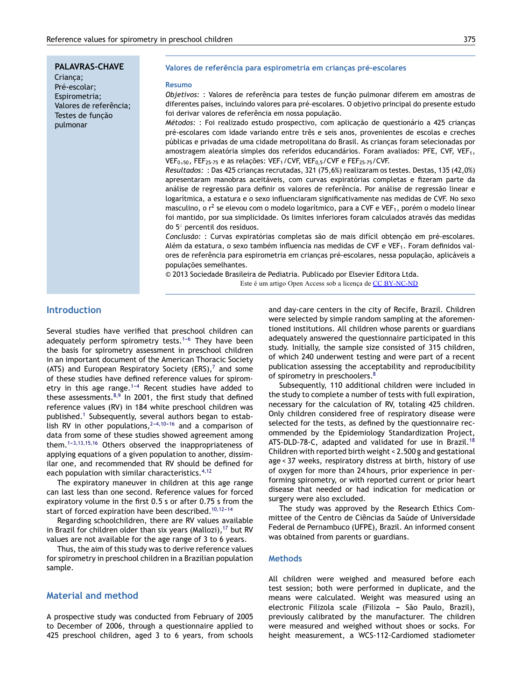### **PALAVRAS-CHAVE**

Crianca: Pré-escolar; Espirometria; Valores de referência; Testes de funcão pulmonar

#### **Valores de referência para espirometria em crianc¸as pré-escolares**

#### **Resumo**

*Objetivos:* : Valores de referência para testes de func¸ão pulmonar diferem em amostras de diferentes países, incluindo valores para pré-escolares. O objetivo principal do presente estudo foi derivar valores de referência em nossa população.

*Métodos:* : Foi realizado estudo prospectivo, com aplicação de questionário a 425 crianças pré-escolares com idade variando entre três e seis anos, provenientes de escolas e creches públicas e privadas de uma cidade metropolitana do Brasil. As criancas foram selecionadas por amostragem aleatória simples dos referidos educandários. Foram avaliados: PFE, CVF, VEF1, VEF<sub>0</sub>,50, FEF<sub>25-75</sub> e as relações: VEF<sub>1</sub>/CVF, VEF<sub>0,5</sub>/CVF e FEF<sub>25-75</sub>/CVF.

*Resultados:* : Das 425 crianças recrutadas, 321 (75,6%) realizaram os testes. Destas, 135 (42,0%) apresentaram manobras aceitáveis, com curvas expiratórias completas e fizeram parte da análise de regressão para definir os valores de referência. Por análise de regressão linear e logarítmica, a estatura e o sexo influenciaram significativamente nas medidas de CVF. No sexo masculino, o r<sup>2</sup> se elevou com o modelo logarítmico, para a CVF e VEF<sub>1</sub>, porém o modelo linear foi mantido, por sua simplicidade. Os limites inferiores foram calculados através das medidas do 5 ◦ percentil dos resíduos.

*Conclusão:* : Curvas expiratórias completas são de mais difícil obtenção em pré-escolares. Além da estatura, o sexo também influencia nas medidas de CVF e VEF1. Foram definidos valores de referência para espirometria em crianças pré-escolares, nessa população, aplicáveis a populações semelhantes.

© 2013 Sociedade Brasileira de Pediatria. Publicado por Elsevier Editora Ltda. Este é um artigo Open Access sob a licença de [CC BY-NC-ND](http://creativecommons.org/licenses/by-nc-nd/4.0/)

## **Introduction**

Several studies have verified that preschool children can adequately perform spirometry tests.<sup>1-6</sup> They have been the basis for spirometry assessment in preschool children in an important document of the American Thoracic Society (ATS) and European Respiratory Society (ERS), $<sup>7</sup>$  $<sup>7</sup>$  $<sup>7</sup>$  and some</sup> of these studies have defined reference values for spirometry in this age range.<sup>1-4</sup> Recent studies have added to these assessments. $8,9$  In 2001, the first study that defined reference values (RV) in 184 white preschool children was published.<sup>[1](#page-5-0)</sup> Subsequently, several authors began to establish RV in other populations,  $2-4,10-16$  and a comparison of data from some of these studies showed agreement among them. $1-3,13,15,16$  Others observed the inappropriateness of applying equations of a given population to another, dissimilar one, and recommended that RV should be defined for each population with similar characteristics.<sup>[4,12](#page-5-0)</sup>

The expiratory maneuver in children at this age range can last less than one second. Reference values for forced expiratory volume in the first 0.5 s or after 0.75 s from the start of forced expiration have been described.<sup>10,12-14</sup>

Regarding schoolchildren, there are RV values available in Brazil for children older than six years (Mallozi),  $17$  but RV values are not available for the age range of 3 to 6 years.

Thus, the aim of this study was to derive reference values for spirometry in preschool children in a Brazilian population sample.

## **Material and method**

A prospective study was conducted from February of 2005 to December of 2006, through a questionnaire applied to 425 preschool children, aged 3 to 6 years, from schools and day-care centers in the city of Recife, Brazil. Children were selected by simple random sampling at the aforementioned institutions. All children whose parents or guardians adequately answered the questionnaire participated in this study. Initially, the sample size consisted of 315 children, of which 240 underwent testing and were part of a recent publication assessing the acceptability and reproducibility of spirometry in preschoolers.<sup>[8](#page-5-0)</sup>

Subsequently, 110 additional children were included in the study to complete a number of tests with full expiration, necessary for the calculation of RV, totaling 425 children. Only children considered free of respiratory disease were selected for the tests, as defined by the questionnaire recommended by the Epidemiology Standardization Project, ATS-DLD-78-C, adapted and validated for use in Brazil.<sup>[18](#page-5-0)</sup> Children with reported birth weight < 2.500 g and gestational age < 37 weeks, respiratory distress at birth, history of use of oxygen for more than 24 hours, prior experience in performing spirometry, or with reported current or prior heart disease that needed or had indication for medication or surgery were also excluded.

The study was approved by the Research Ethics Committee of the Centro de Ciências da Saúde of Universidade Federal de Pernambuco (UFPE), Brazil. An informed consent was obtained from parents or guardians.

#### **Methods**

All children were weighed and measured before each test session; both were performed in duplicate, and the means were calculated. Weight was measured using an electronic Filizola scale (Filizola - São Paulo, Brazil), previously calibrated by the manufacturer. The children were measured and weighed without shoes or socks. For height measurement, a WCS-112-Cardiomed stadiometer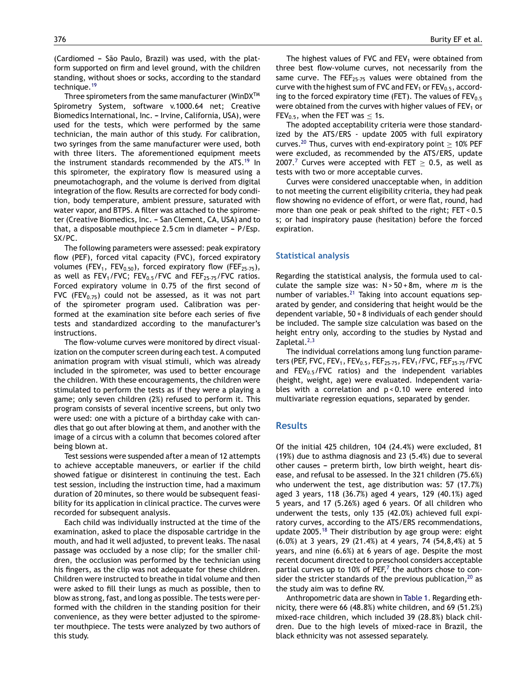(Cardiomed - São Paulo, Brazil) was used, with the platform supported on firm and level ground, with the children standing, without shoes or socks, according to the standard technique.<sup>[19](#page-5-0)</sup>

Three spirometers from the same manufacturer (WinD $X^{TM}$ Spirometry System, software v.1000.64 net; Creative Biomedics International, Inc. - Irvine, California, USA), were used for the tests, which were performed by the same technician, the main author of this study. For calibration, two syringes from the same manufacturer were used, both with three liters. The aforementioned equipment meets the instrument standards recommended by the ATS.<sup>[19](#page-5-0)</sup> In this spirometer, the expiratory flow is measured using a pneumotachograph, and the volume is derived from digital integration of the flow. Results are corrected for body condition, body temperature, ambient pressure, saturated with water vapor, and BTPS. A filter was attached to the spirometer (Creative Biomedics, Inc. - San Clement, CA, USA) and to that, a disposable mouthpiece  $2.5$  cm in diameter - P/Esp. SX/PC.

The following parameters were assessed: peak expiratory flow (PEF), forced vital capacity (FVC), forced expiratory volumes (FEV<sub>1</sub>, FEV<sub>0.50</sub>), forced expiratory flow (FEF<sub>25-75</sub>), as well as  $FEV_1/FVC$ ;  $FEV_{0.5}/FVC$  and  $FEF_{25-75}/FVC$  ratios. Forced expiratory volume in 0.75 of the first second of FVC (FEV<sub>0.75</sub>) could not be assessed, as it was not part of the spirometer program used. Calibration was performed at the examination site before each series of five tests and standardized according to the manufacturer's instructions.

The flow-volume curves were monitored by direct visualization on the computer screen during each test. A computed animation program with visual stimuli, which was already included in the spirometer, was used to better encourage the children. With these encouragements, the children were stimulated to perform the tests as if they were a playing a game; only seven children (2%) refused to perform it. This program consists of several incentive screens, but only two were used: one with a picture of a birthday cake with candles that go out after blowing at them, and another with the image of a circus with a column that becomes colored after being blown at.

Test sessions were suspended after a mean of 12 attempts to achieve acceptable maneuvers, or earlier if the child showed fatigue or disinterest in continuing the test. Each test session, including the instruction time, had a maximum duration of 20 minutes, so there would be subsequent feasibility for its application in clinical practice. The curves were recorded for subsequent analysis.

Each child was individually instructed at the time of the examination, asked to place the disposable cartridge in the mouth, and had it well adjusted, to prevent leaks. The nasal passage was occluded by a nose clip; for the smaller children, the occlusion was performed by the technician using his fingers, as the clip was not adequate for these children. Children were instructed to breathe in tidal volume and then were asked to fill their lungs as much as possible, then to blow as strong, fast, and long as possible. The tests were performed with the children in the standing position for their convenience, as they were better adjusted to the spirometer mouthpiece. The tests were analyzed by two authors of this study.

The highest values of FVC and  $FEV<sub>1</sub>$  were obtained from three best flow-volume curves, not necessarily from the same curve. The FEF<sub>25-75</sub> values were obtained from the curve with the highest sum of FVC and  $FEV_1$  or  $FEV_{0.5}$ , according to the forced expiratory time (FET). The values of  $FEV<sub>0.5</sub>$ were obtained from the curves with higher values of  $FEV<sub>1</sub>$  or FEV<sub>0.5</sub>, when the FET was  $\leq$  1s.

The adopted acceptability criteria were those standardized by the ATS/ERS - update 2005 with full expiratory curves.<sup>[20](#page-5-0)</sup> Thus, curves with end-expiratory point  $\geq 10\%$  PEF were excluded, as recommended by the ATS/ERS, update 200[7](#page-5-0).<sup>7</sup> Curves were accepted with FET  $> 0.5$ , as well as tests with two or more acceptable curves.

Curves were considered unacceptable when, in addition to not meeting the current eligibility criteria, they had peak flow showing no evidence of effort, or were flat, round, had more than one peak or peak shifted to the right; FET < 0.5 s; or had inspiratory pause (hesitation) before the forced expiration.

#### **Statistical analysis**

Regarding the statistical analysis, the formula used to calculate the sample size was: N > 50 + 8m, where *m* is the number of variables. $^{21}$  $^{21}$  $^{21}$  Taking into account equations separated by gender, and considering that height would be the dependent variable, 50 + 8 individuals of each gender should be included. The sample size calculation was based on the height entry only, according to the studies by Nystad and Zapletal.<sup>[2,3](#page-5-0)</sup>

The individual correlations among lung function parameters (PEF, FVC, FEV<sub>1</sub>, FEV<sub>0.5</sub>, FEF<sub>25-75</sub>, FEV<sub>1</sub>/FVC, FEF<sub>25-75</sub>/FVC and  $FEV_{0.5}/FVC$  ratios) and the independent variables (height, weight, age) were evaluated. Independent variables with a correlation and p < 0.10 were entered into multivariate regression equations, separated by gender.

#### **Results**

Of the initial 425 children, 104 (24.4%) were excluded, 81 (19%) due to asthma diagnosis and 23 (5.4%) due to several other causes – preterm birth, low birth weight, heart disease, and refusal to be assessed. In the 321 children (75.6%) who underwent the test, age distribution was: 57 (17.7%) aged 3 years, 118 (36.7%) aged 4 years, 129 (40.1%) aged 5 years, and 17 (5.26%) aged 6 years. Of all children who underwent the tests, only 135 (42.0%) achieved full expiratory curves, according to the ATS/ERS recommendations, update 2005.[18](#page-5-0) Their distribution by age group were: eight (6.0%) at 3 years, 29 (21.4%) at 4 years, 74 (54,8,4%) at 5 years, and nine (6.6%) at 6 years of age. Despite the most recent document directed to preschool considers acceptable partial curves up to 10% of PEF, $<sup>7</sup>$  $<sup>7</sup>$  $<sup>7</sup>$  the authors chose to con-</sup> sider the stricter standards of the previous publication,  $20$  as the study aim was to define RV.

Anthropometric data are shown in [Table](#page-3-0) 1. Regarding ethnicity, there were 66 (48.8%) white children, and 69 (51.2%) mixed-race children, which included 39 (28.8%) black children. Due to the high levels of mixed-race in Brazil, the black ethnicity was not assessed separately.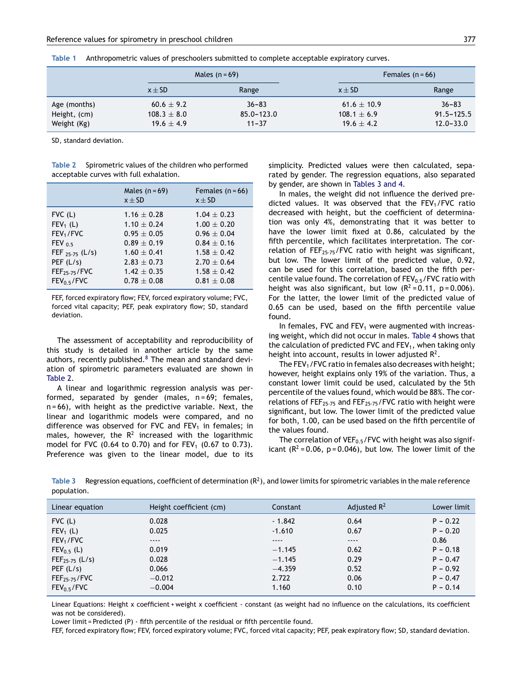|              |                 | Males $(n = 69)$ |                 | Females $(n = 66)$ |
|--------------|-----------------|------------------|-----------------|--------------------|
|              | $x \pm SD$      | Range            | $x \pm SD$      | Range              |
| Age (months) | $60.6 \pm 9.2$  | $36 - 83$        | 61.6 $\pm$ 10.9 | $36 - 83$          |
| Height, (cm) | $108.3 \pm 8.0$ | $85.0 - 123.0$   | $108.1 \pm 6.9$ | $91.5 - 125.5$     |
| Weight (Kg)  | $19.6 \pm 4.9$  | $11 - 37$        | $19.6 \pm 4.2$  | $12.0 - 33.0$      |

<span id="page-3-0"></span>

| Table 1 |  |                                                                                           |
|---------|--|-------------------------------------------------------------------------------------------|
|         |  | Anthropometric values of preschoolers submitted to complete acceptable expiratory curves. |
|         |  |                                                                                           |

SD, standard deviation.

| Table 2 Spirometric values of the children who performed |  |  |
|----------------------------------------------------------|--|--|
| acceptable curves with full exhalation.                  |  |  |

|                         | Males $(n = 69)$<br>$x \pm SD$ | Females $(n = 66)$<br>$x \pm SD$ |
|-------------------------|--------------------------------|----------------------------------|
| $FVC$ (L)               | $1.16 \pm 0.28$                | $1.04 \pm 0.23$                  |
| $FEV_1(L)$              | $1.10 \pm 0.24$                | $1.00 + 0.20$                    |
| FEV <sub>1</sub> /FVC   | $0.95 \pm 0.05$                | $0.96 \pm 0.04$                  |
| FEV $0.5$               | $0.89 \pm 0.19$                | $0.84 \pm 0.16$                  |
| FEF $_{25-75}$ (L/s)    | $1.60 \pm 0.41$                | $1.58 \pm 0.42$                  |
| PEF $(L/s)$             | $2.83 \pm 0.73$                | $2.70 \pm 0.64$                  |
| $FEF25-75/FVC$          | $1.42 \pm 0.35$                | $1.58 \pm 0.42$                  |
| FEV <sub>0.5</sub> /FVC | $0.78 \pm 0.08$                | $0.81 \pm 0.08$                  |

FEF, forced expiratory flow; FEV, forced expiratory volume; FVC, forced vital capacity; PEF, peak expiratory flow; SD, standard deviation.

The assessment of acceptability and reproducibility of this study is detailed in another article by the same authors, recently published. $8$  The mean and standard deviation of spirometric parameters evaluated are shown in Table 2.

A linear and logarithmic regression analysis was performed, separated by gender (males, n=69; females,  $n = 66$ ), with height as the predictive variable. Next, the linear and logarithmic models were compared, and no difference was observed for FVC and FEV<sub>1</sub> in females; in males, however, the  $R^2$  increased with the logarithmic model for FVC (0.64 to 0.70) and for FEV<sub>1</sub> (0.67 to 0.73). Preference was given to the linear model, due to its simplicity. Predicted values were then calculated, separated by gender. The regression equations, also separated by gender, are shown in Tables 3 and 4.

In males, the weight did not influence the derived predicted values. It was observed that the  $FEV<sub>1</sub>/FVC$  ratio decreased with height, but the coefficient of determination was only 4%, demonstrating that it was better to have the lower limit fixed at 0.86, calculated by the fifth percentile, which facilitates interpretation. The correlation of FEF<sub>25-75</sub>/FVC ratio with height was significant, but low. The lower limit of the predicted value, 0.92, can be used for this correlation, based on the fifth percentile value found. The correlation of  $FEV_{0.5}/FVC$  ratio with height was also significant, but low  $(R^2 = 0.11, p = 0.006)$ . For the latter, the lower limit of the predicted value of 0.65 can be used, based on the fifth percentile value found.

In females, FVC and  $FEV<sub>1</sub>$  were augmented with increasing weight, which did not occur in males. [Table](#page-4-0) 4 shows that the calculation of predicted FVC and  $FEV<sub>1</sub>$ , when taking only height into account, results in lower adjusted  $\mathsf{R}^2$ .

The FEV<sub>1</sub>/FVC ratio in females also decreases with height; however, height explains only 19% of the variation. Thus, a constant lower limit could be used, calculated by the 5th percentile of the values found, which would be 88%. The correlations of  $FEF_{25-75}$  and  $FEF_{25-75}$ /FVC ratio with height were significant, but low. The lower limit of the predicted value for both, 1.00, can be used based on the fifth percentile of the values found.

The correlation of VEF $_{0.5}$ /FVC with height was also significant ( $R^2$  = 0.06, p = 0.046), but low. The lower limit of the

|             | Table 3 Regression equations, coefficient of determination $(R^2)$ , and lower limits for spirometric variables in the male reference |
|-------------|---------------------------------------------------------------------------------------------------------------------------------------|
| population. |                                                                                                                                       |
|             |                                                                                                                                       |

| Linear equation         | Height coefficient (cm) | Constant | Adjusted $R^2$ | Lower limit |
|-------------------------|-------------------------|----------|----------------|-------------|
| $FVC$ (L)               | 0.028                   | $-1.842$ | 0.64           | $P - 0.22$  |
| $FEV_1(L)$              | 0.025                   | $-1.610$ | 0.67           | $P - 0.20$  |
| FEV <sub>1</sub> /FVC   | $- - - -$               | $---$    | $---$          | 0.86        |
| $FEV_{0.5}$ (L)         | 0.019                   | $-1.145$ | 0.62           | $P - 0.18$  |
| $FEF_{25-75}$ (L/s)     | 0.028                   | $-1.145$ | 0.29           | $P - 0.47$  |
| PEF(L/s)                | 0.066                   | $-4.359$ | 0.52           | $P - 0.92$  |
| $FEF25-75/FVC$          | $-0.012$                | 2.722    | 0.06           | $P - 0.47$  |
| FEV <sub>0.5</sub> /FVC | $-0.004$                | 1.160    | 0.10           | $P - 0.14$  |

Linear Equations: Height x coefficient + weight x coefficient - constant (as weight had no influence on the calculations, its coefficient was not be considered).

Lower limit = Predicted (P) - fifth percentile of the residual or fifth percentile found.

FEF, forced expiratory flow; FEV, forced expiratory volume; FVC, forced vital capacity; PEF, peak expiratory flow; SD, standard deviation.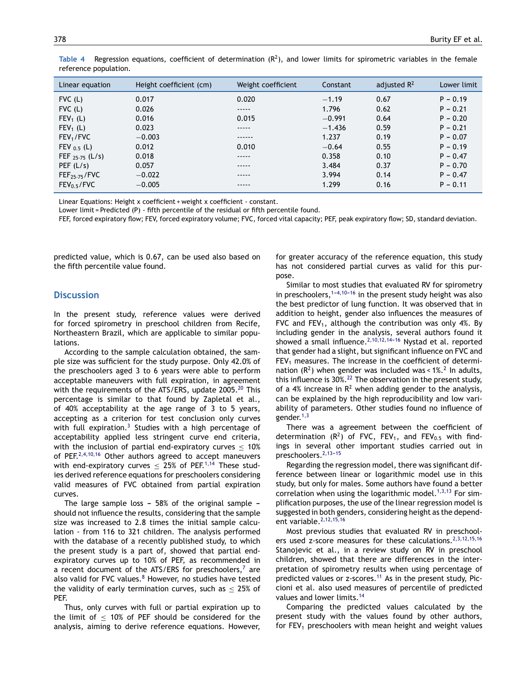| Linear equation         | Height coefficient (cm) | Weight coefficient | Constant | adjusted $R^2$ | Lower limit |
|-------------------------|-------------------------|--------------------|----------|----------------|-------------|
| $FVC$ (L)               | 0.017                   | 0.020              | $-1.19$  | 0.67           | $P - 0.19$  |
| $FVC$ (L)               | 0.026                   | -----              | 1.796    | 0.62           | $P - 0.21$  |
| $FEV_1(L)$              | 0.016                   | 0.015              | $-0.991$ | 0.64           | $P - 0.20$  |
| $FEV_1(L)$              | 0.023                   | -----              | $-1.436$ | 0.59           | $P - 0.21$  |
| FEV <sub>1</sub> /FVC   | $-0.003$                | ------             | 1.237    | 0.19           | $P - 0.07$  |
| FEV $_{0.5}$ (L)        | 0.012                   | 0.010              | $-0.64$  | 0.55           | $P - 0.19$  |
| FEF $_{25-75}$ (L/s)    | 0.018                   | -----              | 0.358    | 0.10           | $P - 0.47$  |
| PEF (L/s)               | 0.057                   | -----              | 3.484    | 0.37           | $P - 0.70$  |
| $FEF25-75/FVC$          | $-0.022$                | -----              | 3.994    | 0.14           | $P - 0.47$  |
| FEV <sub>0.5</sub> /FVC | $-0.005$                | -----              | 1.299    | 0.16           | $P - 0.11$  |

<span id="page-4-0"></span>Table 4 Regression equations, coefficient of determination  $(R^2)$ , and lower limits for spirometric variables in the female reference population.

Linear Equations: Height x coefficient + weight x coefficient - constant.

Lower limit = Predicted (P) - fifth percentile of the residual or fifth percentile found.

FEF, forced expiratory flow; FEV, forced expiratory volume; FVC, forced vital capacity; PEF, peak expiratory flow; SD, standard deviation.

predicted value, which is 0.67, can be used also based on the fifth percentile value found.

### **Discussion**

In the present study, reference values were derived for forced spirometry in preschool children from Recife, Northeastern Brazil, which are applicable to similar populations.

According to the sample calculation obtained, the sample size was sufficient for the study purpose. Only 42.0% of the preschoolers aged 3 to 6 years were able to perform acceptable maneuvers with full expiration, in agreement with the requirements of the ATS/ERS, update [20](#page-5-0)05.<sup>20</sup> This percentage is similar to that found by Zapletal et al., of 40% acceptability at the age range of 3 to 5 years, accepting as a criterion for test conclusion only curves with full expiration.<sup>[3](#page-5-0)</sup> Studies with a high percentage of acceptability applied less stringent curve end criteria, with the inclusion of partial end-expiratory curves  $\leq 10\%$ of PEF.<sup>[2,4,10,16](#page-5-0)</sup> Other authors agreed to accept maneuvers with end-expiratory curves  $<$  25% of PEF.<sup>[1,14](#page-5-0)</sup> These studies derived reference equations for preschoolers considering valid measures of FVC obtained from partial expiration curves.

The large sample loss -  $58%$  of the original sample should not influence the results, considering that the sample size was increased to 2.8 times the initial sample calculation - from 116 to 321 children. The analysis performed with the database of a recently published study, to which the present study is a part of, showed that partial endexpiratory curves up to 10% of PEF, as recommended in a recent document of the ATS/ERS for preschoolers, $<sup>7</sup>$  $<sup>7</sup>$  $<sup>7</sup>$  are</sup> also valid for FVC values.<sup>[8](#page-5-0)</sup> However, no studies have tested the validity of early termination curves, such as  $\leq$  25% of PEF.

Thus, only curves with full or partial expiration up to the limit of  $<$  10% of PEF should be considered for the analysis, aiming to derive reference equations. However,

for greater accuracy of the reference equation, this study has not considered partial curves as valid for this purpose.

Similar to most studies that evaluated RV for spirometry in preschoolers,  $1-4,10-16$  in the present study height was also the best predictor of lung function. It was observed that in addition to height, gender also influences the measures of FVC and FEV<sub>1</sub>, although the contribution was only 4%. By including gender in the analysis, several authors found it showed a small influence.<sup>2,10,12,14-16</sup> Nystad et al. reported that gender had a slight, but significant influence on FVC and  $FEV<sub>1</sub>$  measures. The increase in the coefficient of determination  $(R^2)$  when gender was included was <  $1\%$ .<sup>2</sup> In adults, this influence is  $30\%.$ <sup>[22](#page-6-0)</sup> The observation in the present study, of a 4% increase in  $\mathbb{R}^2$  when adding gender to the analysis, can be explained by the high reproducibility and low variability of parameters. Other studies found no influence of gender.<sup>[1,3](#page-5-0)</sup>

There was a agreement between the coefficient of determination  $(R^2)$  of FVC, FEV<sub>1</sub>, and FEV<sub>0.5</sub> with findings in several other important studies carried out in preschoolers.<sup>2,13-15</sup>

Regarding the regression model, there was significant difference between linear or logarithmic model use in this study, but only for males. Some authors have found a better correlation when using the logarithmic model. $1,3,13$  For simplification purposes, the use of the linear regression model is suggested in both genders, considering height as the dependent variable.[2,12,15,16](#page-5-0)

Most previous studies that evaluated RV in preschool-ers used z-score measures for these calculations.<sup>[2,3,12,15,16](#page-5-0)</sup> Stanojevic et al., in a review study on RV in preschool children, showed that there are differences in the interpretation of spirometry results when using percentage of predicted values or  $z$ -scores.<sup>[11](#page-5-0)</sup> As in the present study, Piccioni et al. also used measures of percentile of predicted values and lower limits.[14](#page-5-0)

Comparing the predicted values calculated by the present study with the values found by other authors, for  $FEV<sub>1</sub>$  preschoolers with mean height and weight values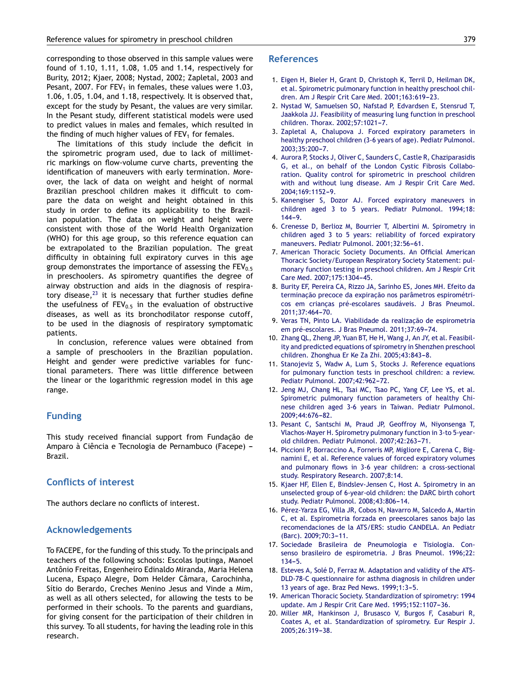<span id="page-5-0"></span>corresponding to those observed in this sample values were found of 1.10, 1.11, 1.08, 1.05 and 1.14, respectively for Burity, 2012; Kjaer, 2008; Nystad, 2002; Zapletal, 2003 and Pesant, 2007. For  $FEV_1$  in females, these values were 1.03, 1.06, 1.05, 1.04, and 1.18, respectively. It is observed that, except for the study by Pesant, the values are very similar. In the Pesant study, different statistical models were used to predict values in males and females, which resulted in the finding of much higher values of  $FEV<sub>1</sub>$  for females.

The limitations of this study include the deficit in the spirometric program used, due to lack of millimetric markings on flow-volume curve charts, preventing the identification of maneuvers with early termination. Moreover, the lack of data on weight and height of normal Brazilian preschool children makes it difficult to compare the data on weight and height obtained in this study in order to define its applicability to the Brazilian population. The data on weight and height were consistent with those of the World Health Organization (WHO) for this age group, so this reference equation can be extrapolated to the Brazilian population. The great difficulty in obtaining full expiratory curves in this age group demonstrates the importance of assessing the  $FEV<sub>0.5</sub>$ in preschoolers. As spirometry quantifies the degree of airway obstruction and aids in the diagnosis of respiratory disease, $^{23}$  $^{23}$  $^{23}$  it is necessary that further studies define the usefulness of  $FEV_{0.5}$  in the evaluation of obstructive diseases, as well as its bronchodilator response cutoff, to be used in the diagnosis of respiratory symptomatic patients.

In conclusion, reference values were obtained from a sample of preschoolers in the Brazilian population. Height and gender were predictive variables for functional parameters. There was little difference between the linear or the logarithmic regression model in this age range.

## **Funding**

This study received financial support from Fundacão de Amparo à Ciência e Tecnologia de Pernambuco (Facepe) -Brazil.

## **Conflicts of interest**

The authors declare no conflicts of interest.

### **Acknowledgements**

To FACEPE, for the funding of this study. To the principals and teachers of the following schools: Escolas Iputinga, Manoel Antônio Freitas, Engenheiro Edinaldo Miranda, Maria Helena Lucena, Espaço Alegre, Dom Helder Câmara, Carochinha, Sítio do Berardo, Creches Menino Jesus and Vinde a Mim, as well as all others selected, for allowing the tests to be performed in their schools. To the parents and guardians, for giving consent for the participation of their children in this survey. To all students, for having the leading role in this research.

#### **References**

- 1. [Eigen](http://refhub.elsevier.com/S0021-7557(13)00093-4/sbref0005) [H,](http://refhub.elsevier.com/S0021-7557(13)00093-4/sbref0005) [Bieler](http://refhub.elsevier.com/S0021-7557(13)00093-4/sbref0005) [H,](http://refhub.elsevier.com/S0021-7557(13)00093-4/sbref0005) [Grant](http://refhub.elsevier.com/S0021-7557(13)00093-4/sbref0005) [D,](http://refhub.elsevier.com/S0021-7557(13)00093-4/sbref0005) [Christoph](http://refhub.elsevier.com/S0021-7557(13)00093-4/sbref0005) [K,](http://refhub.elsevier.com/S0021-7557(13)00093-4/sbref0005) [Terril](http://refhub.elsevier.com/S0021-7557(13)00093-4/sbref0005) [D,](http://refhub.elsevier.com/S0021-7557(13)00093-4/sbref0005) [Heilman](http://refhub.elsevier.com/S0021-7557(13)00093-4/sbref0005) [DK,](http://refhub.elsevier.com/S0021-7557(13)00093-4/sbref0005) [et](http://refhub.elsevier.com/S0021-7557(13)00093-4/sbref0005) [al.](http://refhub.elsevier.com/S0021-7557(13)00093-4/sbref0005) [Spirometric](http://refhub.elsevier.com/S0021-7557(13)00093-4/sbref0005) [pulmonary](http://refhub.elsevier.com/S0021-7557(13)00093-4/sbref0005) [function](http://refhub.elsevier.com/S0021-7557(13)00093-4/sbref0005) [in](http://refhub.elsevier.com/S0021-7557(13)00093-4/sbref0005) [healthy](http://refhub.elsevier.com/S0021-7557(13)00093-4/sbref0005) [preschool](http://refhub.elsevier.com/S0021-7557(13)00093-4/sbref0005) [chil](http://refhub.elsevier.com/S0021-7557(13)00093-4/sbref0005)[dren.](http://refhub.elsevier.com/S0021-7557(13)00093-4/sbref0005) [Am](http://refhub.elsevier.com/S0021-7557(13)00093-4/sbref0005) [J](http://refhub.elsevier.com/S0021-7557(13)00093-4/sbref0005) [Respir](http://refhub.elsevier.com/S0021-7557(13)00093-4/sbref0005) [Crit](http://refhub.elsevier.com/S0021-7557(13)00093-4/sbref0005) [Care](http://refhub.elsevier.com/S0021-7557(13)00093-4/sbref0005) [Med.](http://refhub.elsevier.com/S0021-7557(13)00093-4/sbref0005) [2001;163:619](http://refhub.elsevier.com/S0021-7557(13)00093-4/sbref0005)[-23.](http://refhub.elsevier.com/S0021-7557(13)00093-4/sbref0005)
- 2. [Nystad](http://refhub.elsevier.com/S0021-7557(13)00093-4/sbref0010) [W,](http://refhub.elsevier.com/S0021-7557(13)00093-4/sbref0010) [Samuelsen](http://refhub.elsevier.com/S0021-7557(13)00093-4/sbref0010) [SO,](http://refhub.elsevier.com/S0021-7557(13)00093-4/sbref0010) [Nafstad](http://refhub.elsevier.com/S0021-7557(13)00093-4/sbref0010) [P,](http://refhub.elsevier.com/S0021-7557(13)00093-4/sbref0010) [Edvardsen](http://refhub.elsevier.com/S0021-7557(13)00093-4/sbref0010) [E,](http://refhub.elsevier.com/S0021-7557(13)00093-4/sbref0010) [Stensrud](http://refhub.elsevier.com/S0021-7557(13)00093-4/sbref0010) [T,](http://refhub.elsevier.com/S0021-7557(13)00093-4/sbref0010) [Jaakkola](http://refhub.elsevier.com/S0021-7557(13)00093-4/sbref0010) [JJ.](http://refhub.elsevier.com/S0021-7557(13)00093-4/sbref0010) [Feasibility](http://refhub.elsevier.com/S0021-7557(13)00093-4/sbref0010) [of](http://refhub.elsevier.com/S0021-7557(13)00093-4/sbref0010) [measuring](http://refhub.elsevier.com/S0021-7557(13)00093-4/sbref0010) [lung](http://refhub.elsevier.com/S0021-7557(13)00093-4/sbref0010) [function](http://refhub.elsevier.com/S0021-7557(13)00093-4/sbref0010) [in](http://refhub.elsevier.com/S0021-7557(13)00093-4/sbref0010) [preschool](http://refhub.elsevier.com/S0021-7557(13)00093-4/sbref0010) [children.](http://refhub.elsevier.com/S0021-7557(13)00093-4/sbref0010) [Thorax.](http://refhub.elsevier.com/S0021-7557(13)00093-4/sbref0010) 2002;57:1021-7.
- 3. [Zapletal](http://refhub.elsevier.com/S0021-7557(13)00093-4/sbref0015) [A,](http://refhub.elsevier.com/S0021-7557(13)00093-4/sbref0015) [Chalupova](http://refhub.elsevier.com/S0021-7557(13)00093-4/sbref0015) [J.](http://refhub.elsevier.com/S0021-7557(13)00093-4/sbref0015) [Forced](http://refhub.elsevier.com/S0021-7557(13)00093-4/sbref0015) [expiratory](http://refhub.elsevier.com/S0021-7557(13)00093-4/sbref0015) [parameters](http://refhub.elsevier.com/S0021-7557(13)00093-4/sbref0015) [in](http://refhub.elsevier.com/S0021-7557(13)00093-4/sbref0015) [healthy](http://refhub.elsevier.com/S0021-7557(13)00093-4/sbref0015) [preschool](http://refhub.elsevier.com/S0021-7557(13)00093-4/sbref0015) [children](http://refhub.elsevier.com/S0021-7557(13)00093-4/sbref0015) [\(3-6](http://refhub.elsevier.com/S0021-7557(13)00093-4/sbref0015) [years](http://refhub.elsevier.com/S0021-7557(13)00093-4/sbref0015) [of](http://refhub.elsevier.com/S0021-7557(13)00093-4/sbref0015) [age\).](http://refhub.elsevier.com/S0021-7557(13)00093-4/sbref0015) [Pediatr](http://refhub.elsevier.com/S0021-7557(13)00093-4/sbref0015) [Pulmonol.](http://refhub.elsevier.com/S0021-7557(13)00093-4/sbref0015) 2003;35:200-7.
- 4. [Aurora](http://refhub.elsevier.com/S0021-7557(13)00093-4/sbref0020) [P,](http://refhub.elsevier.com/S0021-7557(13)00093-4/sbref0020) [Stocks](http://refhub.elsevier.com/S0021-7557(13)00093-4/sbref0020) [J,](http://refhub.elsevier.com/S0021-7557(13)00093-4/sbref0020) [Oliver](http://refhub.elsevier.com/S0021-7557(13)00093-4/sbref0020) [C,](http://refhub.elsevier.com/S0021-7557(13)00093-4/sbref0020) [Saunders](http://refhub.elsevier.com/S0021-7557(13)00093-4/sbref0020) [C,](http://refhub.elsevier.com/S0021-7557(13)00093-4/sbref0020) [Castle](http://refhub.elsevier.com/S0021-7557(13)00093-4/sbref0020) [R,](http://refhub.elsevier.com/S0021-7557(13)00093-4/sbref0020) [Chaziparasidis](http://refhub.elsevier.com/S0021-7557(13)00093-4/sbref0020) [G,](http://refhub.elsevier.com/S0021-7557(13)00093-4/sbref0020) [et](http://refhub.elsevier.com/S0021-7557(13)00093-4/sbref0020) [al.,](http://refhub.elsevier.com/S0021-7557(13)00093-4/sbref0020) [on](http://refhub.elsevier.com/S0021-7557(13)00093-4/sbref0020) [behalf](http://refhub.elsevier.com/S0021-7557(13)00093-4/sbref0020) [of](http://refhub.elsevier.com/S0021-7557(13)00093-4/sbref0020) [the](http://refhub.elsevier.com/S0021-7557(13)00093-4/sbref0020) [London](http://refhub.elsevier.com/S0021-7557(13)00093-4/sbref0020) [Cystic](http://refhub.elsevier.com/S0021-7557(13)00093-4/sbref0020) [Fibrosis](http://refhub.elsevier.com/S0021-7557(13)00093-4/sbref0020) [Collabo](http://refhub.elsevier.com/S0021-7557(13)00093-4/sbref0020)[ration.](http://refhub.elsevier.com/S0021-7557(13)00093-4/sbref0020) [Quality](http://refhub.elsevier.com/S0021-7557(13)00093-4/sbref0020) [control](http://refhub.elsevier.com/S0021-7557(13)00093-4/sbref0020) [for](http://refhub.elsevier.com/S0021-7557(13)00093-4/sbref0020) [spirometric](http://refhub.elsevier.com/S0021-7557(13)00093-4/sbref0020) [in](http://refhub.elsevier.com/S0021-7557(13)00093-4/sbref0020) [preschool](http://refhub.elsevier.com/S0021-7557(13)00093-4/sbref0020) [children](http://refhub.elsevier.com/S0021-7557(13)00093-4/sbref0020) [with](http://refhub.elsevier.com/S0021-7557(13)00093-4/sbref0020) [and](http://refhub.elsevier.com/S0021-7557(13)00093-4/sbref0020) [without](http://refhub.elsevier.com/S0021-7557(13)00093-4/sbref0020) [lung](http://refhub.elsevier.com/S0021-7557(13)00093-4/sbref0020) [disease.](http://refhub.elsevier.com/S0021-7557(13)00093-4/sbref0020) [Am](http://refhub.elsevier.com/S0021-7557(13)00093-4/sbref0020) [J](http://refhub.elsevier.com/S0021-7557(13)00093-4/sbref0020) [Respir](http://refhub.elsevier.com/S0021-7557(13)00093-4/sbref0020) [Crit](http://refhub.elsevier.com/S0021-7557(13)00093-4/sbref0020) [Care](http://refhub.elsevier.com/S0021-7557(13)00093-4/sbref0020) [Med.](http://refhub.elsevier.com/S0021-7557(13)00093-4/sbref0020) 2004:169:1152-9.
- 5. [Kanengiser](http://refhub.elsevier.com/S0021-7557(13)00093-4/sbref0025) [S,](http://refhub.elsevier.com/S0021-7557(13)00093-4/sbref0025) [Dozor](http://refhub.elsevier.com/S0021-7557(13)00093-4/sbref0025) [AJ.](http://refhub.elsevier.com/S0021-7557(13)00093-4/sbref0025) [Forced](http://refhub.elsevier.com/S0021-7557(13)00093-4/sbref0025) [expiratory](http://refhub.elsevier.com/S0021-7557(13)00093-4/sbref0025) [maneuvers](http://refhub.elsevier.com/S0021-7557(13)00093-4/sbref0025) [in](http://refhub.elsevier.com/S0021-7557(13)00093-4/sbref0025) [children](http://refhub.elsevier.com/S0021-7557(13)00093-4/sbref0025) [aged](http://refhub.elsevier.com/S0021-7557(13)00093-4/sbref0025) [3](http://refhub.elsevier.com/S0021-7557(13)00093-4/sbref0025) [to](http://refhub.elsevier.com/S0021-7557(13)00093-4/sbref0025) [5](http://refhub.elsevier.com/S0021-7557(13)00093-4/sbref0025) [years.](http://refhub.elsevier.com/S0021-7557(13)00093-4/sbref0025) [Pediatr](http://refhub.elsevier.com/S0021-7557(13)00093-4/sbref0025) [Pulmonol.](http://refhub.elsevier.com/S0021-7557(13)00093-4/sbref0025) [1994;18:](http://refhub.elsevier.com/S0021-7557(13)00093-4/sbref0025)  $144 - 9.$
- 6. [Crenesse](http://refhub.elsevier.com/S0021-7557(13)00093-4/sbref0030) [D,](http://refhub.elsevier.com/S0021-7557(13)00093-4/sbref0030) [Berlioz](http://refhub.elsevier.com/S0021-7557(13)00093-4/sbref0030) [M,](http://refhub.elsevier.com/S0021-7557(13)00093-4/sbref0030) [Bourrier](http://refhub.elsevier.com/S0021-7557(13)00093-4/sbref0030) [T,](http://refhub.elsevier.com/S0021-7557(13)00093-4/sbref0030) [Albertini](http://refhub.elsevier.com/S0021-7557(13)00093-4/sbref0030) [M.](http://refhub.elsevier.com/S0021-7557(13)00093-4/sbref0030) [Spirometry](http://refhub.elsevier.com/S0021-7557(13)00093-4/sbref0030) [in](http://refhub.elsevier.com/S0021-7557(13)00093-4/sbref0030) [children](http://refhub.elsevier.com/S0021-7557(13)00093-4/sbref0030) [aged](http://refhub.elsevier.com/S0021-7557(13)00093-4/sbref0030) [3](http://refhub.elsevier.com/S0021-7557(13)00093-4/sbref0030) [to](http://refhub.elsevier.com/S0021-7557(13)00093-4/sbref0030) [5](http://refhub.elsevier.com/S0021-7557(13)00093-4/sbref0030) [years:](http://refhub.elsevier.com/S0021-7557(13)00093-4/sbref0030) [reliability](http://refhub.elsevier.com/S0021-7557(13)00093-4/sbref0030) [of](http://refhub.elsevier.com/S0021-7557(13)00093-4/sbref0030) [forced](http://refhub.elsevier.com/S0021-7557(13)00093-4/sbref0030) [expiratory](http://refhub.elsevier.com/S0021-7557(13)00093-4/sbref0030) [maneuvers.](http://refhub.elsevier.com/S0021-7557(13)00093-4/sbref0030) [Pediatr](http://refhub.elsevier.com/S0021-7557(13)00093-4/sbref0030) [Pulmonol.](http://refhub.elsevier.com/S0021-7557(13)00093-4/sbref0030) 2001;32:56-61.
- 7. [American](http://refhub.elsevier.com/S0021-7557(13)00093-4/sbref0035) [Thoracic](http://refhub.elsevier.com/S0021-7557(13)00093-4/sbref0035) [Society](http://refhub.elsevier.com/S0021-7557(13)00093-4/sbref0035) [Documents.](http://refhub.elsevier.com/S0021-7557(13)00093-4/sbref0035) [An](http://refhub.elsevier.com/S0021-7557(13)00093-4/sbref0035) [Official](http://refhub.elsevier.com/S0021-7557(13)00093-4/sbref0035) [American](http://refhub.elsevier.com/S0021-7557(13)00093-4/sbref0035) [Thoracic](http://refhub.elsevier.com/S0021-7557(13)00093-4/sbref0035) [Society/European](http://refhub.elsevier.com/S0021-7557(13)00093-4/sbref0035) [Respiratory](http://refhub.elsevier.com/S0021-7557(13)00093-4/sbref0035) [Society](http://refhub.elsevier.com/S0021-7557(13)00093-4/sbref0035) [Statement:](http://refhub.elsevier.com/S0021-7557(13)00093-4/sbref0035) [pul](http://refhub.elsevier.com/S0021-7557(13)00093-4/sbref0035)[monary](http://refhub.elsevier.com/S0021-7557(13)00093-4/sbref0035) [function](http://refhub.elsevier.com/S0021-7557(13)00093-4/sbref0035) [testing](http://refhub.elsevier.com/S0021-7557(13)00093-4/sbref0035) [in](http://refhub.elsevier.com/S0021-7557(13)00093-4/sbref0035) [preschool](http://refhub.elsevier.com/S0021-7557(13)00093-4/sbref0035) [children.](http://refhub.elsevier.com/S0021-7557(13)00093-4/sbref0035) [Am](http://refhub.elsevier.com/S0021-7557(13)00093-4/sbref0035) [J](http://refhub.elsevier.com/S0021-7557(13)00093-4/sbref0035) [Respir](http://refhub.elsevier.com/S0021-7557(13)00093-4/sbref0035) [Crit](http://refhub.elsevier.com/S0021-7557(13)00093-4/sbref0035) [Care](http://refhub.elsevier.com/S0021-7557(13)00093-4/sbref0035) [Med.](http://refhub.elsevier.com/S0021-7557(13)00093-4/sbref0035) 2007:175:1304[-45.](http://refhub.elsevier.com/S0021-7557(13)00093-4/sbref0035)
- 8. [Burity](http://refhub.elsevier.com/S0021-7557(13)00093-4/sbref0040) [EF,](http://refhub.elsevier.com/S0021-7557(13)00093-4/sbref0040) [Pereira](http://refhub.elsevier.com/S0021-7557(13)00093-4/sbref0040) [CA,](http://refhub.elsevier.com/S0021-7557(13)00093-4/sbref0040) [Rizzo](http://refhub.elsevier.com/S0021-7557(13)00093-4/sbref0040) [JA,](http://refhub.elsevier.com/S0021-7557(13)00093-4/sbref0040) [Sarinho](http://refhub.elsevier.com/S0021-7557(13)00093-4/sbref0040) [ES,](http://refhub.elsevier.com/S0021-7557(13)00093-4/sbref0040) [Jones](http://refhub.elsevier.com/S0021-7557(13)00093-4/sbref0040) [MH.](http://refhub.elsevier.com/S0021-7557(13)00093-4/sbref0040) [Efeito](http://refhub.elsevier.com/S0021-7557(13)00093-4/sbref0040) [da](http://refhub.elsevier.com/S0021-7557(13)00093-4/sbref0040) terminação [precoce](http://refhub.elsevier.com/S0021-7557(13)00093-4/sbref0040) [da](http://refhub.elsevier.com/S0021-7557(13)00093-4/sbref0040) expiração [nos](http://refhub.elsevier.com/S0021-7557(13)00093-4/sbref0040) [parâmetros](http://refhub.elsevier.com/S0021-7557(13)00093-4/sbref0040) [espirométri](http://refhub.elsevier.com/S0021-7557(13)00093-4/sbref0040)[cos](http://refhub.elsevier.com/S0021-7557(13)00093-4/sbref0040) [em](http://refhub.elsevier.com/S0021-7557(13)00093-4/sbref0040) crianças [pré-escolares](http://refhub.elsevier.com/S0021-7557(13)00093-4/sbref0040) [saudáveis.](http://refhub.elsevier.com/S0021-7557(13)00093-4/sbref0040) [J](http://refhub.elsevier.com/S0021-7557(13)00093-4/sbref0040) [Bras](http://refhub.elsevier.com/S0021-7557(13)00093-4/sbref0040) [Pneumol.](http://refhub.elsevier.com/S0021-7557(13)00093-4/sbref0040) 2011:37:464[-70.](http://refhub.elsevier.com/S0021-7557(13)00093-4/sbref0040)
- 9. [Veras](http://refhub.elsevier.com/S0021-7557(13)00093-4/sbref0045) [TN,](http://refhub.elsevier.com/S0021-7557(13)00093-4/sbref0045) [Pinto](http://refhub.elsevier.com/S0021-7557(13)00093-4/sbref0045) [LA.](http://refhub.elsevier.com/S0021-7557(13)00093-4/sbref0045) [Viabilidade](http://refhub.elsevier.com/S0021-7557(13)00093-4/sbref0045) [da](http://refhub.elsevier.com/S0021-7557(13)00093-4/sbref0045) realizacão [de](http://refhub.elsevier.com/S0021-7557(13)00093-4/sbref0045) [espirometria](http://refhub.elsevier.com/S0021-7557(13)00093-4/sbref0045) [em](http://refhub.elsevier.com/S0021-7557(13)00093-4/sbref0045) [pré-escolares.](http://refhub.elsevier.com/S0021-7557(13)00093-4/sbref0045) [J](http://refhub.elsevier.com/S0021-7557(13)00093-4/sbref0045) [Bras](http://refhub.elsevier.com/S0021-7557(13)00093-4/sbref0045) [Pneumol.](http://refhub.elsevier.com/S0021-7557(13)00093-4/sbref0045) [2011;37:69](http://refhub.elsevier.com/S0021-7557(13)00093-4/sbref0045)[-74.](http://refhub.elsevier.com/S0021-7557(13)00093-4/sbref0045)
- 10. [Zhang](http://refhub.elsevier.com/S0021-7557(13)00093-4/sbref0050) [QL,](http://refhub.elsevier.com/S0021-7557(13)00093-4/sbref0050) [Zheng](http://refhub.elsevier.com/S0021-7557(13)00093-4/sbref0050) [JP,](http://refhub.elsevier.com/S0021-7557(13)00093-4/sbref0050) [Yuan](http://refhub.elsevier.com/S0021-7557(13)00093-4/sbref0050) [BT,](http://refhub.elsevier.com/S0021-7557(13)00093-4/sbref0050) [He](http://refhub.elsevier.com/S0021-7557(13)00093-4/sbref0050) [H,](http://refhub.elsevier.com/S0021-7557(13)00093-4/sbref0050) [Wang](http://refhub.elsevier.com/S0021-7557(13)00093-4/sbref0050) [J,](http://refhub.elsevier.com/S0021-7557(13)00093-4/sbref0050) [An](http://refhub.elsevier.com/S0021-7557(13)00093-4/sbref0050) [JY,](http://refhub.elsevier.com/S0021-7557(13)00093-4/sbref0050) [et](http://refhub.elsevier.com/S0021-7557(13)00093-4/sbref0050) [al.](http://refhub.elsevier.com/S0021-7557(13)00093-4/sbref0050) [Feasibil](http://refhub.elsevier.com/S0021-7557(13)00093-4/sbref0050)[ity](http://refhub.elsevier.com/S0021-7557(13)00093-4/sbref0050) [and](http://refhub.elsevier.com/S0021-7557(13)00093-4/sbref0050) [predicted](http://refhub.elsevier.com/S0021-7557(13)00093-4/sbref0050) [equations](http://refhub.elsevier.com/S0021-7557(13)00093-4/sbref0050) [of](http://refhub.elsevier.com/S0021-7557(13)00093-4/sbref0050) [spirometry](http://refhub.elsevier.com/S0021-7557(13)00093-4/sbref0050) [in](http://refhub.elsevier.com/S0021-7557(13)00093-4/sbref0050) [Shenzhen](http://refhub.elsevier.com/S0021-7557(13)00093-4/sbref0050) [preschool](http://refhub.elsevier.com/S0021-7557(13)00093-4/sbref0050) [children.](http://refhub.elsevier.com/S0021-7557(13)00093-4/sbref0050) [Zhonghua](http://refhub.elsevier.com/S0021-7557(13)00093-4/sbref0050) [Er](http://refhub.elsevier.com/S0021-7557(13)00093-4/sbref0050) [Ke](http://refhub.elsevier.com/S0021-7557(13)00093-4/sbref0050) [Za](http://refhub.elsevier.com/S0021-7557(13)00093-4/sbref0050) [Zhi.](http://refhub.elsevier.com/S0021-7557(13)00093-4/sbref0050) 2005;43:843-8.
- 11. [Stanojeviz](http://refhub.elsevier.com/S0021-7557(13)00093-4/sbref0055) [S,](http://refhub.elsevier.com/S0021-7557(13)00093-4/sbref0055) [Wadw](http://refhub.elsevier.com/S0021-7557(13)00093-4/sbref0055) [A,](http://refhub.elsevier.com/S0021-7557(13)00093-4/sbref0055) [Lum](http://refhub.elsevier.com/S0021-7557(13)00093-4/sbref0055) [S,](http://refhub.elsevier.com/S0021-7557(13)00093-4/sbref0055) [Stocks](http://refhub.elsevier.com/S0021-7557(13)00093-4/sbref0055) [J.](http://refhub.elsevier.com/S0021-7557(13)00093-4/sbref0055) [Reference](http://refhub.elsevier.com/S0021-7557(13)00093-4/sbref0055) [equations](http://refhub.elsevier.com/S0021-7557(13)00093-4/sbref0055) [for](http://refhub.elsevier.com/S0021-7557(13)00093-4/sbref0055) [pulmonary](http://refhub.elsevier.com/S0021-7557(13)00093-4/sbref0055) [function](http://refhub.elsevier.com/S0021-7557(13)00093-4/sbref0055) [tests](http://refhub.elsevier.com/S0021-7557(13)00093-4/sbref0055) [in](http://refhub.elsevier.com/S0021-7557(13)00093-4/sbref0055) [preschool](http://refhub.elsevier.com/S0021-7557(13)00093-4/sbref0055) [children:](http://refhub.elsevier.com/S0021-7557(13)00093-4/sbref0055) [a](http://refhub.elsevier.com/S0021-7557(13)00093-4/sbref0055) [review.](http://refhub.elsevier.com/S0021-7557(13)00093-4/sbref0055) [Pediatr](http://refhub.elsevier.com/S0021-7557(13)00093-4/sbref0055) [Pulmonol.](http://refhub.elsevier.com/S0021-7557(13)00093-4/sbref0055) 2007;42:962-72.
- 12. [Jeng](http://refhub.elsevier.com/S0021-7557(13)00093-4/sbref0060) [MJ,](http://refhub.elsevier.com/S0021-7557(13)00093-4/sbref0060) [Chang](http://refhub.elsevier.com/S0021-7557(13)00093-4/sbref0060) [HL,](http://refhub.elsevier.com/S0021-7557(13)00093-4/sbref0060) [Tsai](http://refhub.elsevier.com/S0021-7557(13)00093-4/sbref0060) [MC,](http://refhub.elsevier.com/S0021-7557(13)00093-4/sbref0060) [Tsao](http://refhub.elsevier.com/S0021-7557(13)00093-4/sbref0060) [PC,](http://refhub.elsevier.com/S0021-7557(13)00093-4/sbref0060) [Yang](http://refhub.elsevier.com/S0021-7557(13)00093-4/sbref0060) [CF,](http://refhub.elsevier.com/S0021-7557(13)00093-4/sbref0060) [Lee](http://refhub.elsevier.com/S0021-7557(13)00093-4/sbref0060) [YS,](http://refhub.elsevier.com/S0021-7557(13)00093-4/sbref0060) [et](http://refhub.elsevier.com/S0021-7557(13)00093-4/sbref0060) [al.](http://refhub.elsevier.com/S0021-7557(13)00093-4/sbref0060) [Spirometric](http://refhub.elsevier.com/S0021-7557(13)00093-4/sbref0060) [pulmonary](http://refhub.elsevier.com/S0021-7557(13)00093-4/sbref0060) [function](http://refhub.elsevier.com/S0021-7557(13)00093-4/sbref0060) [parameters](http://refhub.elsevier.com/S0021-7557(13)00093-4/sbref0060) [of](http://refhub.elsevier.com/S0021-7557(13)00093-4/sbref0060) [healthy](http://refhub.elsevier.com/S0021-7557(13)00093-4/sbref0060) [Chi](http://refhub.elsevier.com/S0021-7557(13)00093-4/sbref0060)[nese](http://refhub.elsevier.com/S0021-7557(13)00093-4/sbref0060) [children](http://refhub.elsevier.com/S0021-7557(13)00093-4/sbref0060) [aged](http://refhub.elsevier.com/S0021-7557(13)00093-4/sbref0060) [3-6](http://refhub.elsevier.com/S0021-7557(13)00093-4/sbref0060) [years](http://refhub.elsevier.com/S0021-7557(13)00093-4/sbref0060) [in](http://refhub.elsevier.com/S0021-7557(13)00093-4/sbref0060) [Taiwan.](http://refhub.elsevier.com/S0021-7557(13)00093-4/sbref0060) [Pediatr](http://refhub.elsevier.com/S0021-7557(13)00093-4/sbref0060) [Pulmonol.](http://refhub.elsevier.com/S0021-7557(13)00093-4/sbref0060) 2009;44:676-82.
- 13. [Pesant](http://refhub.elsevier.com/S0021-7557(13)00093-4/sbref0065) [C,](http://refhub.elsevier.com/S0021-7557(13)00093-4/sbref0065) [Santschi](http://refhub.elsevier.com/S0021-7557(13)00093-4/sbref0065) [M,](http://refhub.elsevier.com/S0021-7557(13)00093-4/sbref0065) [Praud](http://refhub.elsevier.com/S0021-7557(13)00093-4/sbref0065) [JP,](http://refhub.elsevier.com/S0021-7557(13)00093-4/sbref0065) [Geoffroy](http://refhub.elsevier.com/S0021-7557(13)00093-4/sbref0065) [M,](http://refhub.elsevier.com/S0021-7557(13)00093-4/sbref0065) [Niyonsenga](http://refhub.elsevier.com/S0021-7557(13)00093-4/sbref0065) [T,](http://refhub.elsevier.com/S0021-7557(13)00093-4/sbref0065) [Vlachos-Mayer](http://refhub.elsevier.com/S0021-7557(13)00093-4/sbref0065) [H.](http://refhub.elsevier.com/S0021-7557(13)00093-4/sbref0065) [Spirometry](http://refhub.elsevier.com/S0021-7557(13)00093-4/sbref0065) [pulmonary](http://refhub.elsevier.com/S0021-7557(13)00093-4/sbref0065) [function](http://refhub.elsevier.com/S0021-7557(13)00093-4/sbref0065) [in](http://refhub.elsevier.com/S0021-7557(13)00093-4/sbref0065) [3-to](http://refhub.elsevier.com/S0021-7557(13)00093-4/sbref0065) [5-year](http://refhub.elsevier.com/S0021-7557(13)00093-4/sbref0065)[old](http://refhub.elsevier.com/S0021-7557(13)00093-4/sbref0065) [children.](http://refhub.elsevier.com/S0021-7557(13)00093-4/sbref0065) [Pediatr](http://refhub.elsevier.com/S0021-7557(13)00093-4/sbref0065) [Pulmonol.](http://refhub.elsevier.com/S0021-7557(13)00093-4/sbref0065) 2007;42:263-71.
- 14. [Piccioni](http://refhub.elsevier.com/S0021-7557(13)00093-4/sbref0070) [P,](http://refhub.elsevier.com/S0021-7557(13)00093-4/sbref0070) [Borraccino](http://refhub.elsevier.com/S0021-7557(13)00093-4/sbref0070) [A,](http://refhub.elsevier.com/S0021-7557(13)00093-4/sbref0070) [Forneris](http://refhub.elsevier.com/S0021-7557(13)00093-4/sbref0070) [MP,](http://refhub.elsevier.com/S0021-7557(13)00093-4/sbref0070) [Migliore](http://refhub.elsevier.com/S0021-7557(13)00093-4/sbref0070) [E,](http://refhub.elsevier.com/S0021-7557(13)00093-4/sbref0070) [Carena](http://refhub.elsevier.com/S0021-7557(13)00093-4/sbref0070) [C,](http://refhub.elsevier.com/S0021-7557(13)00093-4/sbref0070) [Big](http://refhub.elsevier.com/S0021-7557(13)00093-4/sbref0070)[namini](http://refhub.elsevier.com/S0021-7557(13)00093-4/sbref0070) [E,](http://refhub.elsevier.com/S0021-7557(13)00093-4/sbref0070) [et](http://refhub.elsevier.com/S0021-7557(13)00093-4/sbref0070) [al.](http://refhub.elsevier.com/S0021-7557(13)00093-4/sbref0070) [Reference](http://refhub.elsevier.com/S0021-7557(13)00093-4/sbref0070) [values](http://refhub.elsevier.com/S0021-7557(13)00093-4/sbref0070) [of](http://refhub.elsevier.com/S0021-7557(13)00093-4/sbref0070) [forced](http://refhub.elsevier.com/S0021-7557(13)00093-4/sbref0070) [expiratory](http://refhub.elsevier.com/S0021-7557(13)00093-4/sbref0070) [volumes](http://refhub.elsevier.com/S0021-7557(13)00093-4/sbref0070) [and](http://refhub.elsevier.com/S0021-7557(13)00093-4/sbref0070) [pulmonary](http://refhub.elsevier.com/S0021-7557(13)00093-4/sbref0070) [flows](http://refhub.elsevier.com/S0021-7557(13)00093-4/sbref0070) [in](http://refhub.elsevier.com/S0021-7557(13)00093-4/sbref0070) [3-6](http://refhub.elsevier.com/S0021-7557(13)00093-4/sbref0070) [year](http://refhub.elsevier.com/S0021-7557(13)00093-4/sbref0070) [children:](http://refhub.elsevier.com/S0021-7557(13)00093-4/sbref0070) [a](http://refhub.elsevier.com/S0021-7557(13)00093-4/sbref0070) [cross-sectional](http://refhub.elsevier.com/S0021-7557(13)00093-4/sbref0070) [study.](http://refhub.elsevier.com/S0021-7557(13)00093-4/sbref0070) [Respiratory](http://refhub.elsevier.com/S0021-7557(13)00093-4/sbref0070) [Research.](http://refhub.elsevier.com/S0021-7557(13)00093-4/sbref0070) [2007;8:14.](http://refhub.elsevier.com/S0021-7557(13)00093-4/sbref0070)
- 15. [Kjaer](http://refhub.elsevier.com/S0021-7557(13)00093-4/sbref0075) [HF,](http://refhub.elsevier.com/S0021-7557(13)00093-4/sbref0075) [Ellen](http://refhub.elsevier.com/S0021-7557(13)00093-4/sbref0075) [E,](http://refhub.elsevier.com/S0021-7557(13)00093-4/sbref0075) [Bindslev-Jensen](http://refhub.elsevier.com/S0021-7557(13)00093-4/sbref0075) [C,](http://refhub.elsevier.com/S0021-7557(13)00093-4/sbref0075) [Host](http://refhub.elsevier.com/S0021-7557(13)00093-4/sbref0075) [A.](http://refhub.elsevier.com/S0021-7557(13)00093-4/sbref0075) [Spirometry](http://refhub.elsevier.com/S0021-7557(13)00093-4/sbref0075) [in](http://refhub.elsevier.com/S0021-7557(13)00093-4/sbref0075) [an](http://refhub.elsevier.com/S0021-7557(13)00093-4/sbref0075) [unselected](http://refhub.elsevier.com/S0021-7557(13)00093-4/sbref0075) [group](http://refhub.elsevier.com/S0021-7557(13)00093-4/sbref0075) [of](http://refhub.elsevier.com/S0021-7557(13)00093-4/sbref0075) [6-year-old](http://refhub.elsevier.com/S0021-7557(13)00093-4/sbref0075) [children:](http://refhub.elsevier.com/S0021-7557(13)00093-4/sbref0075) [the](http://refhub.elsevier.com/S0021-7557(13)00093-4/sbref0075) [DARC](http://refhub.elsevier.com/S0021-7557(13)00093-4/sbref0075) [birth](http://refhub.elsevier.com/S0021-7557(13)00093-4/sbref0075) [cohort](http://refhub.elsevier.com/S0021-7557(13)00093-4/sbref0075) [study.](http://refhub.elsevier.com/S0021-7557(13)00093-4/sbref0075) [Pediatr](http://refhub.elsevier.com/S0021-7557(13)00093-4/sbref0075) [Pulmonol.](http://refhub.elsevier.com/S0021-7557(13)00093-4/sbref0075) [2008;43:806](http://refhub.elsevier.com/S0021-7557(13)00093-4/sbref0075)-[14.](http://refhub.elsevier.com/S0021-7557(13)00093-4/sbref0075)
- 16. [Pérez-Yarza](http://refhub.elsevier.com/S0021-7557(13)00093-4/sbref0080) [EG,](http://refhub.elsevier.com/S0021-7557(13)00093-4/sbref0080) [Villa](http://refhub.elsevier.com/S0021-7557(13)00093-4/sbref0080) [JR,](http://refhub.elsevier.com/S0021-7557(13)00093-4/sbref0080) [Cobos](http://refhub.elsevier.com/S0021-7557(13)00093-4/sbref0080) [N,](http://refhub.elsevier.com/S0021-7557(13)00093-4/sbref0080) [Navarro](http://refhub.elsevier.com/S0021-7557(13)00093-4/sbref0080) [M,](http://refhub.elsevier.com/S0021-7557(13)00093-4/sbref0080) [Salcedo](http://refhub.elsevier.com/S0021-7557(13)00093-4/sbref0080) [A,](http://refhub.elsevier.com/S0021-7557(13)00093-4/sbref0080) [Martin](http://refhub.elsevier.com/S0021-7557(13)00093-4/sbref0080) [C,](http://refhub.elsevier.com/S0021-7557(13)00093-4/sbref0080) [et](http://refhub.elsevier.com/S0021-7557(13)00093-4/sbref0080) [al.](http://refhub.elsevier.com/S0021-7557(13)00093-4/sbref0080) [Espirometria](http://refhub.elsevier.com/S0021-7557(13)00093-4/sbref0080) [forzada](http://refhub.elsevier.com/S0021-7557(13)00093-4/sbref0080) [en](http://refhub.elsevier.com/S0021-7557(13)00093-4/sbref0080) [preescolares](http://refhub.elsevier.com/S0021-7557(13)00093-4/sbref0080) [sanos](http://refhub.elsevier.com/S0021-7557(13)00093-4/sbref0080) [bajo](http://refhub.elsevier.com/S0021-7557(13)00093-4/sbref0080) [las](http://refhub.elsevier.com/S0021-7557(13)00093-4/sbref0080) [recomendaciones](http://refhub.elsevier.com/S0021-7557(13)00093-4/sbref0080) [de](http://refhub.elsevier.com/S0021-7557(13)00093-4/sbref0080) [la](http://refhub.elsevier.com/S0021-7557(13)00093-4/sbref0080) [ATS/ERS:](http://refhub.elsevier.com/S0021-7557(13)00093-4/sbref0080) [studio](http://refhub.elsevier.com/S0021-7557(13)00093-4/sbref0080) [CANDELA.](http://refhub.elsevier.com/S0021-7557(13)00093-4/sbref0080) [An](http://refhub.elsevier.com/S0021-7557(13)00093-4/sbref0080) [Pediatr](http://refhub.elsevier.com/S0021-7557(13)00093-4/sbref0080) [\(Barc\).](http://refhub.elsevier.com/S0021-7557(13)00093-4/sbref0080) [2009;70:3](http://refhub.elsevier.com/S0021-7557(13)00093-4/sbref0080)-[11.](http://refhub.elsevier.com/S0021-7557(13)00093-4/sbref0080)
- 17. [Sociedade](http://refhub.elsevier.com/S0021-7557(13)00093-4/sbref0085) [Brasileira](http://refhub.elsevier.com/S0021-7557(13)00093-4/sbref0085) [de](http://refhub.elsevier.com/S0021-7557(13)00093-4/sbref0085) [Pneumologia](http://refhub.elsevier.com/S0021-7557(13)00093-4/sbref0085) [e](http://refhub.elsevier.com/S0021-7557(13)00093-4/sbref0085) [Tisiologia.](http://refhub.elsevier.com/S0021-7557(13)00093-4/sbref0085) [Con](http://refhub.elsevier.com/S0021-7557(13)00093-4/sbref0085)[senso](http://refhub.elsevier.com/S0021-7557(13)00093-4/sbref0085) [brasileiro](http://refhub.elsevier.com/S0021-7557(13)00093-4/sbref0085) [de](http://refhub.elsevier.com/S0021-7557(13)00093-4/sbref0085) [espirometria.](http://refhub.elsevier.com/S0021-7557(13)00093-4/sbref0085) [J](http://refhub.elsevier.com/S0021-7557(13)00093-4/sbref0085) [Bras](http://refhub.elsevier.com/S0021-7557(13)00093-4/sbref0085) [Pneumol.](http://refhub.elsevier.com/S0021-7557(13)00093-4/sbref0085) [1996;22:](http://refhub.elsevier.com/S0021-7557(13)00093-4/sbref0085)  $134 - 5.$  $134 - 5.$  $134 - 5.$
- 18. [Esteves](http://refhub.elsevier.com/S0021-7557(13)00093-4/sbref0090) [A,](http://refhub.elsevier.com/S0021-7557(13)00093-4/sbref0090) [Solé](http://refhub.elsevier.com/S0021-7557(13)00093-4/sbref0090) [D,](http://refhub.elsevier.com/S0021-7557(13)00093-4/sbref0090) [Ferraz](http://refhub.elsevier.com/S0021-7557(13)00093-4/sbref0090) [M.](http://refhub.elsevier.com/S0021-7557(13)00093-4/sbref0090) [Adaptation](http://refhub.elsevier.com/S0021-7557(13)00093-4/sbref0090) [and](http://refhub.elsevier.com/S0021-7557(13)00093-4/sbref0090) [validity](http://refhub.elsevier.com/S0021-7557(13)00093-4/sbref0090) [of](http://refhub.elsevier.com/S0021-7557(13)00093-4/sbref0090) [the](http://refhub.elsevier.com/S0021-7557(13)00093-4/sbref0090) [ATS-](http://refhub.elsevier.com/S0021-7557(13)00093-4/sbref0090)[DLD-78-C](http://refhub.elsevier.com/S0021-7557(13)00093-4/sbref0090) [questionnaire](http://refhub.elsevier.com/S0021-7557(13)00093-4/sbref0090) [for](http://refhub.elsevier.com/S0021-7557(13)00093-4/sbref0090) [asthma](http://refhub.elsevier.com/S0021-7557(13)00093-4/sbref0090) [diagnosis](http://refhub.elsevier.com/S0021-7557(13)00093-4/sbref0090) [in](http://refhub.elsevier.com/S0021-7557(13)00093-4/sbref0090) [children](http://refhub.elsevier.com/S0021-7557(13)00093-4/sbref0090) [under](http://refhub.elsevier.com/S0021-7557(13)00093-4/sbref0090) [13](http://refhub.elsevier.com/S0021-7557(13)00093-4/sbref0090) [years](http://refhub.elsevier.com/S0021-7557(13)00093-4/sbref0090) [of](http://refhub.elsevier.com/S0021-7557(13)00093-4/sbref0090) [age.](http://refhub.elsevier.com/S0021-7557(13)00093-4/sbref0090) [Braz](http://refhub.elsevier.com/S0021-7557(13)00093-4/sbref0090) [Ped](http://refhub.elsevier.com/S0021-7557(13)00093-4/sbref0090) [News.](http://refhub.elsevier.com/S0021-7557(13)00093-4/sbref0090) 1999;1:3-5.
- 19. [American](http://refhub.elsevier.com/S0021-7557(13)00093-4/sbref0095) [Thoracic](http://refhub.elsevier.com/S0021-7557(13)00093-4/sbref0095) [Society.](http://refhub.elsevier.com/S0021-7557(13)00093-4/sbref0095) [Standardization](http://refhub.elsevier.com/S0021-7557(13)00093-4/sbref0095) [of](http://refhub.elsevier.com/S0021-7557(13)00093-4/sbref0095) [spirometry:](http://refhub.elsevier.com/S0021-7557(13)00093-4/sbref0095) [1994](http://refhub.elsevier.com/S0021-7557(13)00093-4/sbref0095) [update.](http://refhub.elsevier.com/S0021-7557(13)00093-4/sbref0095) [Am](http://refhub.elsevier.com/S0021-7557(13)00093-4/sbref0095) [J](http://refhub.elsevier.com/S0021-7557(13)00093-4/sbref0095) [Respir](http://refhub.elsevier.com/S0021-7557(13)00093-4/sbref0095) [Crit](http://refhub.elsevier.com/S0021-7557(13)00093-4/sbref0095) [Care](http://refhub.elsevier.com/S0021-7557(13)00093-4/sbref0095) [Med.](http://refhub.elsevier.com/S0021-7557(13)00093-4/sbref0095) 1995;152:1107-36.
- 20. [Miller](http://refhub.elsevier.com/S0021-7557(13)00093-4/sbref0100) [MR,](http://refhub.elsevier.com/S0021-7557(13)00093-4/sbref0100) [Hankinson](http://refhub.elsevier.com/S0021-7557(13)00093-4/sbref0100) [J,](http://refhub.elsevier.com/S0021-7557(13)00093-4/sbref0100) [Brusasco](http://refhub.elsevier.com/S0021-7557(13)00093-4/sbref0100) [V,](http://refhub.elsevier.com/S0021-7557(13)00093-4/sbref0100) [Burgos](http://refhub.elsevier.com/S0021-7557(13)00093-4/sbref0100) [F,](http://refhub.elsevier.com/S0021-7557(13)00093-4/sbref0100) [Casaburi](http://refhub.elsevier.com/S0021-7557(13)00093-4/sbref0100) [R,](http://refhub.elsevier.com/S0021-7557(13)00093-4/sbref0100) [Coates](http://refhub.elsevier.com/S0021-7557(13)00093-4/sbref0100) [A,](http://refhub.elsevier.com/S0021-7557(13)00093-4/sbref0100) [et](http://refhub.elsevier.com/S0021-7557(13)00093-4/sbref0100) [al.](http://refhub.elsevier.com/S0021-7557(13)00093-4/sbref0100) [Standardization](http://refhub.elsevier.com/S0021-7557(13)00093-4/sbref0100) [of](http://refhub.elsevier.com/S0021-7557(13)00093-4/sbref0100) [spirometry.](http://refhub.elsevier.com/S0021-7557(13)00093-4/sbref0100) [Eur](http://refhub.elsevier.com/S0021-7557(13)00093-4/sbref0100) [Respir](http://refhub.elsevier.com/S0021-7557(13)00093-4/sbref0100) [J.](http://refhub.elsevier.com/S0021-7557(13)00093-4/sbref0100) 2005;26:319-38.